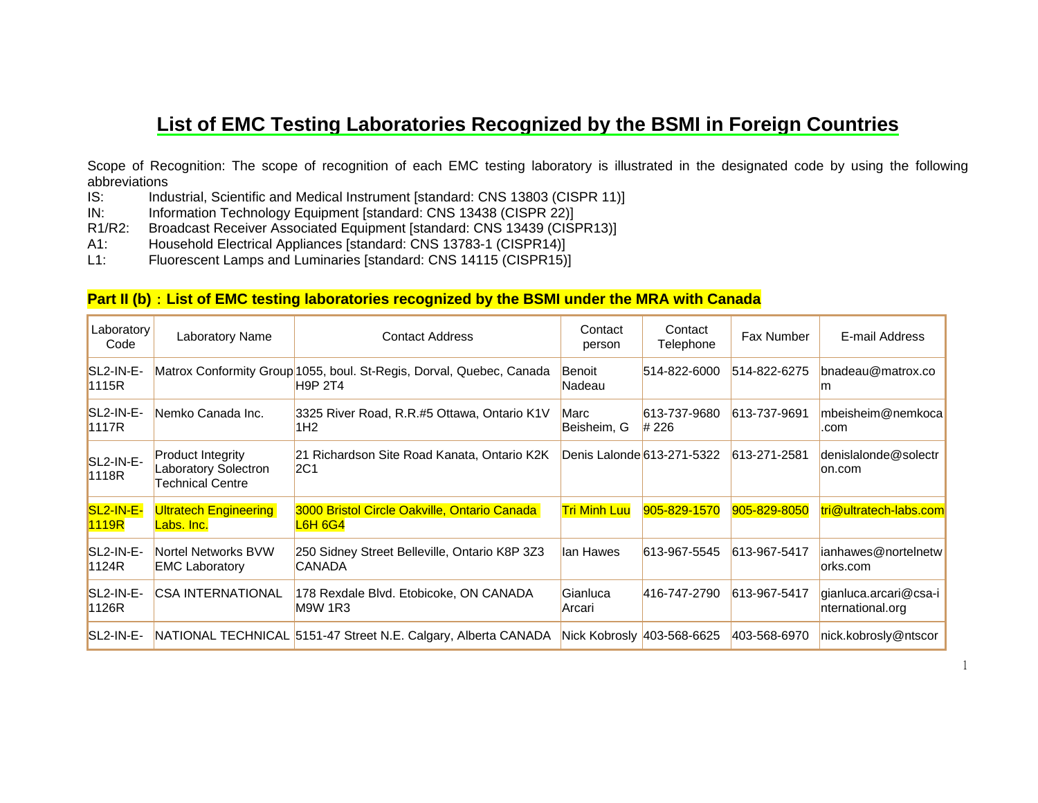## **List of EMC Testing Laboratories Recognized by the BSMI in Foreign Countries**

Scope of Recognition: The scope of recognition of each EMC testing laboratory is illustrated in the designated code by using the following abbreviations

- IS: Industrial, Scientific and Medical Instrument [standard: CNS 13803 (CISPR 11)]
- IN: Information Technology Equipment [standard: CNS 13438 (CISPR 22)]
- R1/R2: Broadcast Receiver Associated Equipment [standard: CNS 13439 (CISPR13)]
- A1: Household Electrical Appliances [standard: CNS 13783-1 (CISPR14)]
- L1: Fluorescent Lamps and Luminaries [standard: CNS 14115 (CISPR15)]

## **Part II (b)**:**List of EMC testing laboratories recognized by the BSMI under the MRA with Canada**

| Laboratory<br>Code           | Laboratory Name                                                             | <b>Contact Address</b>                                                          | Contact<br>person   | Contact<br>Telephone       | Fax Number   | E-mail Address                            |
|------------------------------|-----------------------------------------------------------------------------|---------------------------------------------------------------------------------|---------------------|----------------------------|--------------|-------------------------------------------|
| $SL2$ -IN-E-<br><b>1115R</b> |                                                                             | Matrox Conformity Group 1055, boul. St-Regis, Dorval, Quebec, Canada<br>H9P 2T4 | Benoit<br>Nadeau    | 514-822-6000               | 514-822-6275 | bnadeau@matrox.co<br>m                    |
| $SL2$ -IN-E-<br><b>1117R</b> | Nemko Canada Inc.                                                           | 3325 River Road, R.R.#5 Ottawa, Ontario K1V<br>1H2                              | Marc<br>Beisheim, G | 613-737-9680<br># 226      | 613-737-9691 | mbeisheim@nemkoca<br>.com                 |
| SL2-IN-E-<br><b>1118R</b>    | <b>Product Integrity</b><br>Laboratory Solectron<br><b>Technical Centre</b> | 21 Richardson Site Road Kanata, Ontario K2K<br> 2C1                             |                     | Denis Lalonde 613-271-5322 | 613-271-2581 | denislalonde@solectr<br>on.com            |
| $SL2$ -IN-E-<br><b>1119R</b> | <b>Ultratech Engineering</b><br>Labs. Inc.                                  | <b>3000 Bristol Circle Oakville, Ontario Canada</b><br><b>L6H 6G4</b>           | <b>Tri Minh Luu</b> | 905-829-1570               | 905-829-8050 | tri@ultratech-labs.com                    |
| $SL2$ -IN-E-<br><b>1124R</b> | Nortel Networks BVW<br><b>EMC Laboratory</b>                                | 250 Sidney Street Belleville, Ontario K8P 3Z3<br>CANADA                         | lan Hawes           | 613-967-5545               | 613-967-5417 | ianhawes@nortelnetw<br>orks.com           |
| SL2-IN-E-<br>1126R           | <b>CSA INTERNATIONAL</b>                                                    | 178 Rexdale Blvd. Etobicoke, ON CANADA<br>M9W 1R3                               | Gianluca<br>Arcari  | 416-747-2790               | 613-967-5417 | gianluca.arcari@csa-i<br>nternational.org |
| SL2-IN-E-                    |                                                                             | NATIONAL TECHNICAL 5151-47 Street N.E. Calgary, Alberta CANADA                  |                     | Nick Kobrosly 403-568-6625 | 403-568-6970 | nick.kobrosly@ntscor                      |